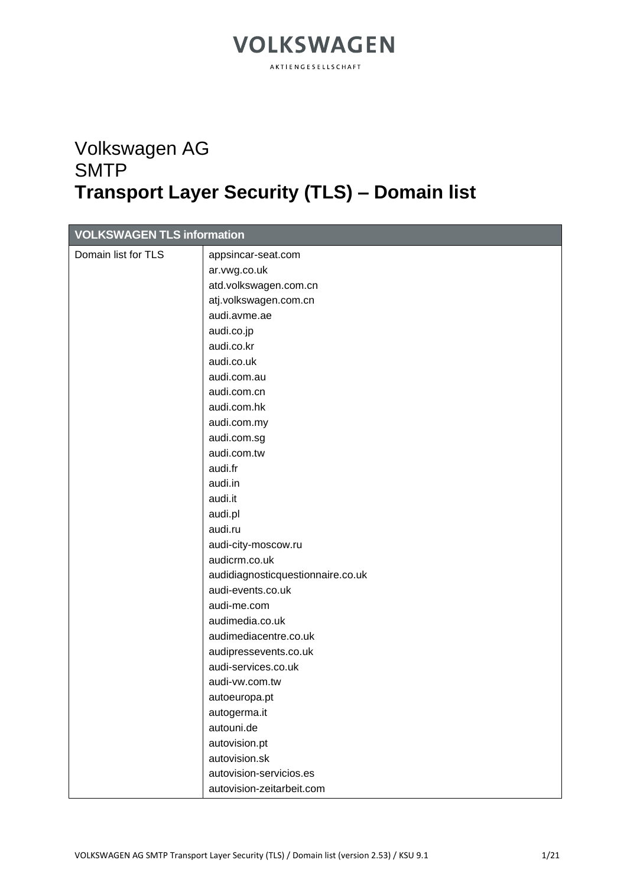AKTIENGESELLSCHAFT

### Volkswagen AG **SMTP Transport Layer Security (TLS) – Domain list**

| <b>VOLKSWAGEN TLS information</b> |                                   |
|-----------------------------------|-----------------------------------|
| Domain list for TLS               | appsincar-seat.com                |
|                                   | ar.vwg.co.uk                      |
|                                   | atd.volkswagen.com.cn             |
|                                   | atj.volkswagen.com.cn             |
|                                   | audi.avme.ae                      |
|                                   | audi.co.jp                        |
|                                   | audi.co.kr                        |
|                                   | audi.co.uk                        |
|                                   | audi.com.au                       |
|                                   | audi.com.cn                       |
|                                   | audi.com.hk                       |
|                                   | audi.com.my                       |
|                                   | audi.com.sg                       |
|                                   | audi.com.tw                       |
|                                   | audi.fr                           |
|                                   | audi.in                           |
|                                   | audi.it                           |
|                                   | audi.pl                           |
|                                   | audi.ru                           |
|                                   | audi-city-moscow.ru               |
|                                   | audicrm.co.uk                     |
|                                   | audidiagnosticquestionnaire.co.uk |
|                                   | audi-events.co.uk                 |
|                                   | audi-me.com                       |
|                                   | audimedia.co.uk                   |
|                                   | audimediacentre.co.uk             |
|                                   | audipressevents.co.uk             |
|                                   | audi-services.co.uk               |
|                                   | audi-vw.com.tw                    |
|                                   | autoeuropa.pt                     |
|                                   | autogerma.it                      |
|                                   | autouni.de                        |
|                                   | autovision.pt                     |
|                                   | autovision.sk                     |
|                                   | autovision-servicios.es           |
|                                   | autovision-zeitarbeit.com         |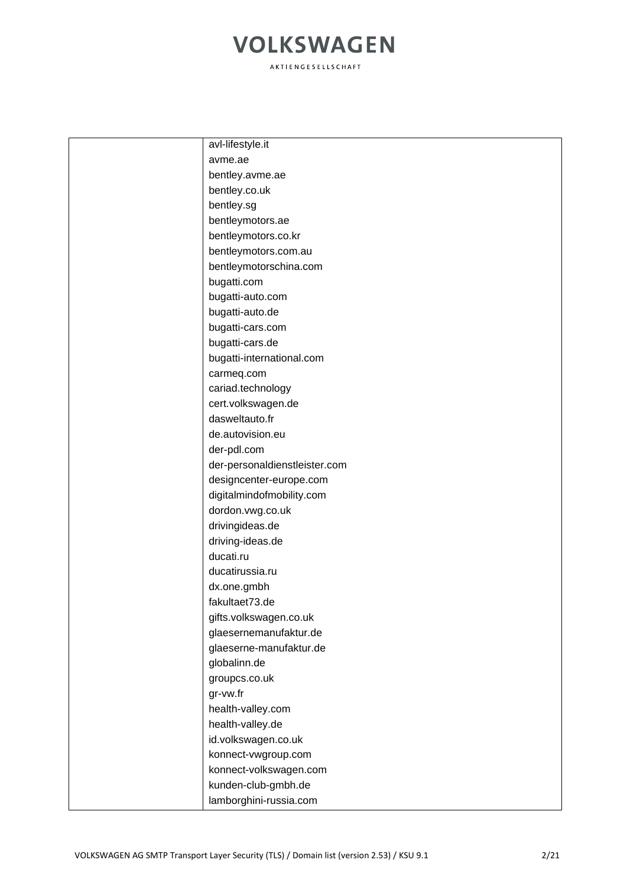| avl-lifestyle.it              |
|-------------------------------|
| avme.ae                       |
| bentley.avme.ae               |
| bentley.co.uk                 |
| bentley.sg                    |
| bentleymotors.ae              |
| bentleymotors.co.kr           |
| bentleymotors.com.au          |
| bentleymotorschina.com        |
| bugatti.com                   |
| bugatti-auto.com              |
| bugatti-auto.de               |
| bugatti-cars.com              |
| bugatti-cars.de               |
| bugatti-international.com     |
| carmeq.com                    |
| cariad.technology             |
| cert.volkswagen.de            |
| dasweltauto.fr                |
| de.autovision.eu              |
| der-pdl.com                   |
| der-personaldienstleister.com |
| designcenter-europe.com       |
| digitalmindofmobility.com     |
| dordon.vwg.co.uk              |
| drivingideas.de               |
| driving-ideas.de              |
| ducati.ru                     |
| ducatirussia.ru               |
| dx.one.gmbh                   |
| fakultaet73.de                |
| gifts.volkswagen.co.uk        |
| glaesernemanufaktur.de        |
| glaeserne-manufaktur.de       |
| globalinn.de                  |
| groupcs.co.uk                 |
| gr-vw.fr                      |
| health-valley.com             |
| health-valley.de              |
| id.volkswagen.co.uk           |
| konnect-vwgroup.com           |
| konnect-volkswagen.com        |
| kunden-club-gmbh.de           |
| lamborghini-russia.com        |
|                               |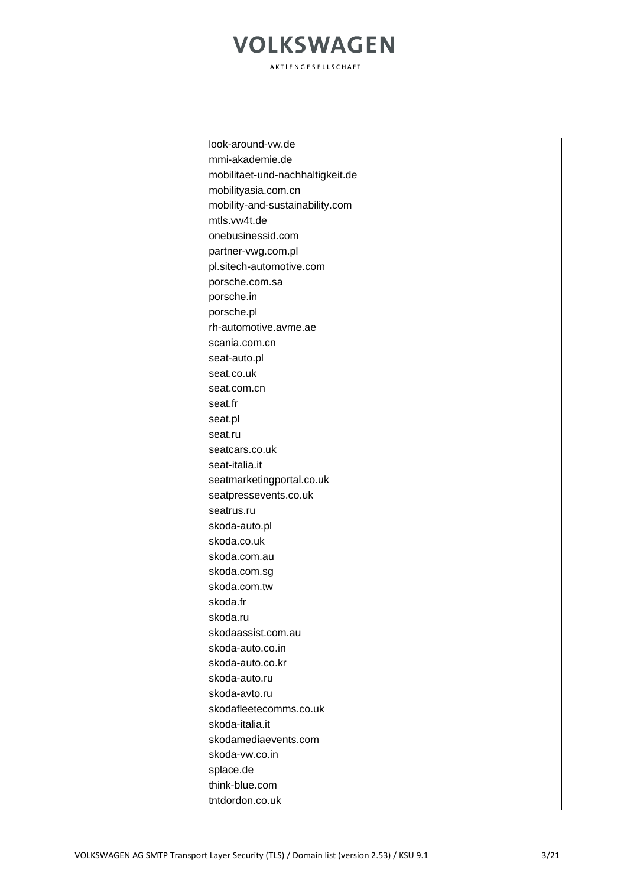| look-around-vw.de                |
|----------------------------------|
| mmi-akademie.de                  |
| mobilitaet-und-nachhaltigkeit.de |
| mobilityasia.com.cn              |
| mobility-and-sustainability.com  |
| mtls.vw4t.de                     |
| onebusinessid.com                |
| partner-vwg.com.pl               |
| pl.sitech-automotive.com         |
| porsche.com.sa                   |
| porsche.in                       |
| porsche.pl                       |
| rh-automotive.avme.ae            |
| scania.com.cn                    |
| seat-auto.pl                     |
| seat.co.uk                       |
| seat.com.cn                      |
| seat.fr                          |
| seat.pl                          |
| seat.ru                          |
| seatcars.co.uk                   |
| seat-italia.it                   |
| seatmarketingportal.co.uk        |
| seatpressevents.co.uk            |
| seatrus.ru                       |
| skoda-auto.pl                    |
| skoda.co.uk                      |
| skoda.com.au                     |
| skoda.com.sg                     |
| skoda.com.tw                     |
| skoda.fr                         |
| skoda.ru                         |
| skodaassist.com.au               |
| skoda-auto.co.in                 |
| skoda-auto.co.kr                 |
| skoda-auto.ru                    |
| skoda-avto.ru                    |
| skodafleetecomms.co.uk           |
| skoda-italia.it                  |
| skodamediaevents.com             |
| skoda-vw.co.in                   |
| splace.de                        |
| think-blue.com                   |
| tntdordon.co.uk                  |
|                                  |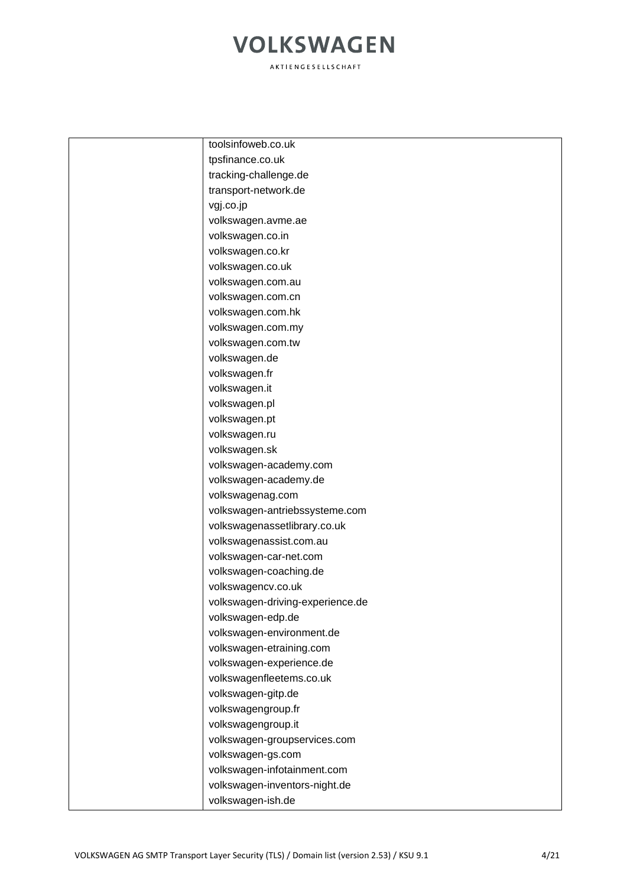| toolsinfoweb.co.uk               |
|----------------------------------|
| tpsfinance.co.uk                 |
| tracking-challenge.de            |
| transport-network.de             |
| vgj.co.jp                        |
| volkswagen.avme.ae               |
| volkswagen.co.in                 |
| volkswagen.co.kr                 |
| volkswagen.co.uk                 |
| volkswagen.com.au                |
| volkswagen.com.cn                |
| volkswagen.com.hk                |
| volkswagen.com.my                |
| volkswagen.com.tw                |
| volkswagen.de                    |
| volkswagen.fr                    |
| volkswagen.it                    |
| volkswagen.pl                    |
| volkswagen.pt                    |
| volkswagen.ru                    |
| volkswagen.sk                    |
| volkswagen-academy.com           |
| volkswagen-academy.de            |
| volkswagenag.com                 |
| volkswagen-antriebssysteme.com   |
| volkswagenassetlibrary.co.uk     |
| volkswagenassist.com.au          |
| volkswagen-car-net.com           |
| volkswagen-coaching.de           |
| volkswagencv.co.uk               |
| volkswagen-driving-experience.de |
| volkswagen-edp.de                |
| volkswagen-environment.de        |
| volkswagen-etraining.com         |
| volkswagen-experience.de         |
| volkswagenfleetems.co.uk         |
| volkswagen-gitp.de               |
| volkswagengroup.fr               |
| volkswagengroup.it               |
| volkswagen-groupservices.com     |
| volkswagen-gs.com                |
| volkswagen-infotainment.com      |
| volkswagen-inventors-night.de    |
| volkswagen-ish.de                |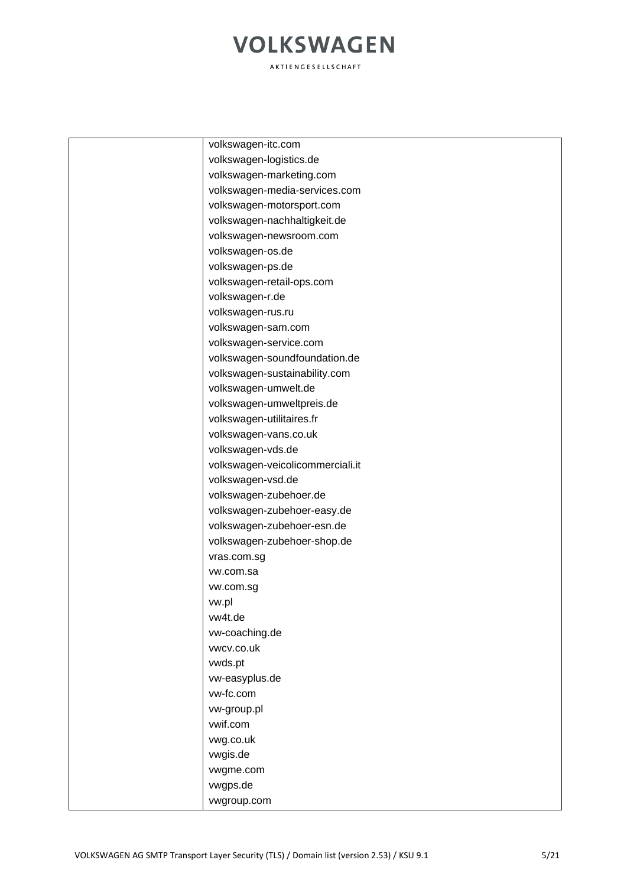| volkswagen-itc.com               |
|----------------------------------|
| volkswagen-logistics.de          |
| volkswagen-marketing.com         |
| volkswagen-media-services.com    |
| volkswagen-motorsport.com        |
| volkswagen-nachhaltigkeit.de     |
| volkswagen-newsroom.com          |
| volkswagen-os.de                 |
| volkswagen-ps.de                 |
| volkswagen-retail-ops.com        |
| volkswagen-r.de                  |
| volkswagen-rus.ru                |
| volkswagen-sam.com               |
| volkswagen-service.com           |
| volkswagen-soundfoundation.de    |
| volkswagen-sustainability.com    |
| volkswagen-umwelt.de             |
| volkswagen-umweltpreis.de        |
| volkswagen-utilitaires.fr        |
| volkswagen-vans.co.uk            |
| volkswagen-vds.de                |
| volkswagen-veicolicommerciali.it |
| volkswagen-vsd.de                |
| volkswagen-zubehoer.de           |
| volkswagen-zubehoer-easy.de      |
| volkswagen-zubehoer-esn.de       |
| volkswagen-zubehoer-shop.de      |
| vras.com.sg                      |
| vw.com.sa                        |
| vw.com.sg                        |
| vw.pl                            |
| vw4t.de                          |
| vw-coaching.de                   |
| vwcv.co.uk                       |
| vwds.pt                          |
| vw-easyplus.de                   |
| vw-fc.com                        |
| vw-group.pl                      |
| vwif.com                         |
| vwg.co.uk                        |
| vwgis.de                         |
| vwgme.com                        |
| vwgps.de                         |
| vwgroup.com                      |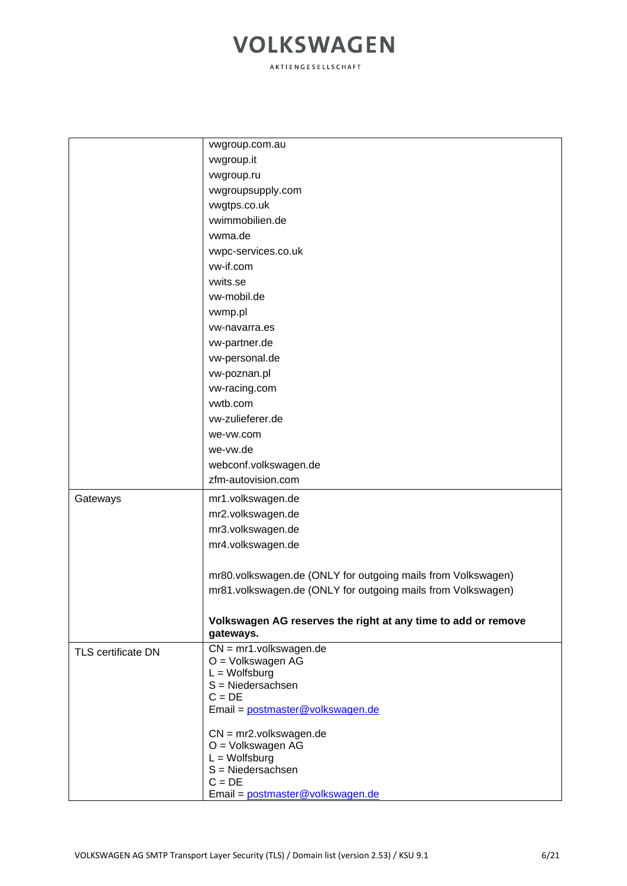|                           | vwgroup.com.au                                                |
|---------------------------|---------------------------------------------------------------|
|                           | vwgroup.it                                                    |
|                           | vwgroup.ru                                                    |
|                           | vwgroupsupply.com                                             |
|                           | vwgtps.co.uk                                                  |
|                           | vwimmobilien.de                                               |
|                           | vwma.de                                                       |
|                           | vwpc-services.co.uk                                           |
|                           | vw-if.com                                                     |
|                           | vwits.se                                                      |
|                           | vw-mobil.de                                                   |
|                           | vwmp.pl                                                       |
|                           | vw-navarra.es                                                 |
|                           | vw-partner.de                                                 |
|                           | vw-personal.de                                                |
|                           | vw-poznan.pl                                                  |
|                           | vw-racing.com                                                 |
|                           | vwtb.com                                                      |
|                           | vw-zulieferer.de                                              |
|                           | we-vw.com                                                     |
|                           | we-vw.de                                                      |
|                           | webconf.volkswagen.de                                         |
|                           | zfm-autovision.com                                            |
| Gateways                  | mr1.volkswagen.de                                             |
|                           | mr2.volkswagen.de                                             |
|                           | mr3.volkswagen.de                                             |
|                           | mr4.volkswagen.de                                             |
|                           |                                                               |
|                           | mr80.volkswagen.de (ONLY for outgoing mails from Volkswagen)  |
|                           | mr81.volkswagen.de (ONLY for outgoing mails from Volkswagen)  |
|                           |                                                               |
|                           | Volkswagen AG reserves the right at any time to add or remove |
|                           | gateways.                                                     |
| <b>TLS certificate DN</b> | $CN = mr1$ .volkswagen.de                                     |
|                           | O = Volkswagen AG                                             |
|                           | $L = Wolfsburg$<br>$S = Niedersachsen$                        |
|                           | $C = DE$                                                      |
|                           | Email = postmaster@volkswagen.de                              |
|                           |                                                               |
|                           | $CN = mr2.volkswagen.de$                                      |
|                           | O = Volkswagen AG<br>$L = Wolfsburg$                          |
|                           | S = Niedersachsen                                             |
|                           | $C = DE$                                                      |
|                           | Email = postmaster@volkswagen.de                              |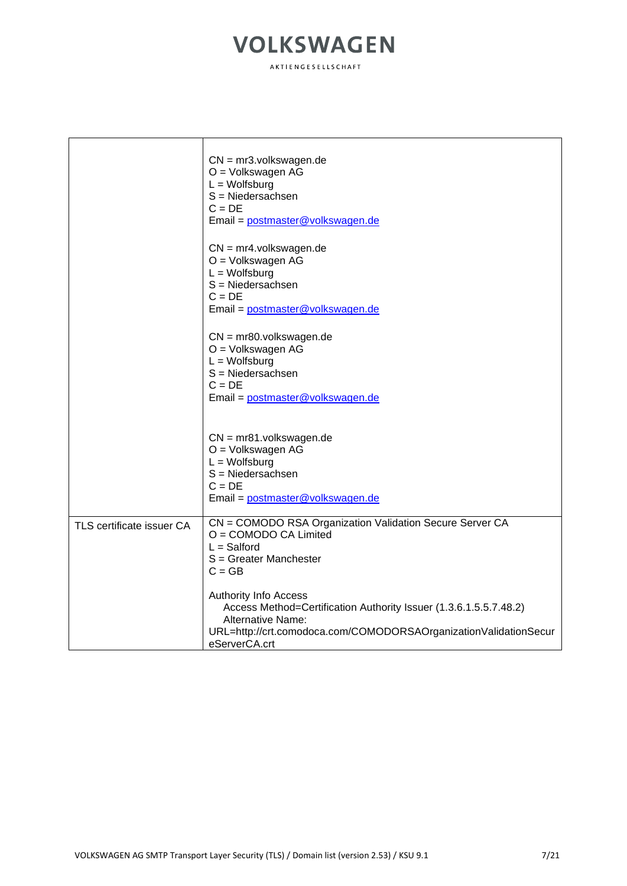|                           | $CN = mr3.volkswagen.de$<br>O = Volkswagen AG<br>$L = W$ olfsburg<br>$S = Niedersachsen$<br>$C = DE$<br>Email = postmaster@volkswagen.de                                                                           |
|---------------------------|--------------------------------------------------------------------------------------------------------------------------------------------------------------------------------------------------------------------|
|                           | $CN = mr4.volkswagen.de$<br>O = Volkswagen AG<br>$L = W$ olfsburg<br>$S = Niedersachsen$<br>$C = DE$<br>Email = postmaster@volkswagen.de                                                                           |
|                           | $CN = mr80.volkswagen.de$<br>O = Volkswagen AG<br>$L = W$ olfsburg<br>$S = Niedersachsen$<br>$C = DE$<br>Email = postmaster@volkswagen.de                                                                          |
|                           | $CN = mr81$ .volkswagen.de<br>O = Volkswagen AG<br>$L = W$ olfsburg<br>$S = Niedersachsen$<br>$C = DE$<br>Email = postmaster@volkswagen.de                                                                         |
| TLS certificate issuer CA | CN = COMODO RSA Organization Validation Secure Server CA<br>O = COMODO CA Limited<br>$L =$ Salford<br>S = Greater Manchester<br>$C = GB$                                                                           |
|                           | <b>Authority Info Access</b><br>Access Method=Certification Authority Issuer (1.3.6.1.5.5.7.48.2)<br><b>Alternative Name:</b><br>URL=http://crt.comodoca.com/COMODORSAOrganizationValidationSecur<br>eServerCA.crt |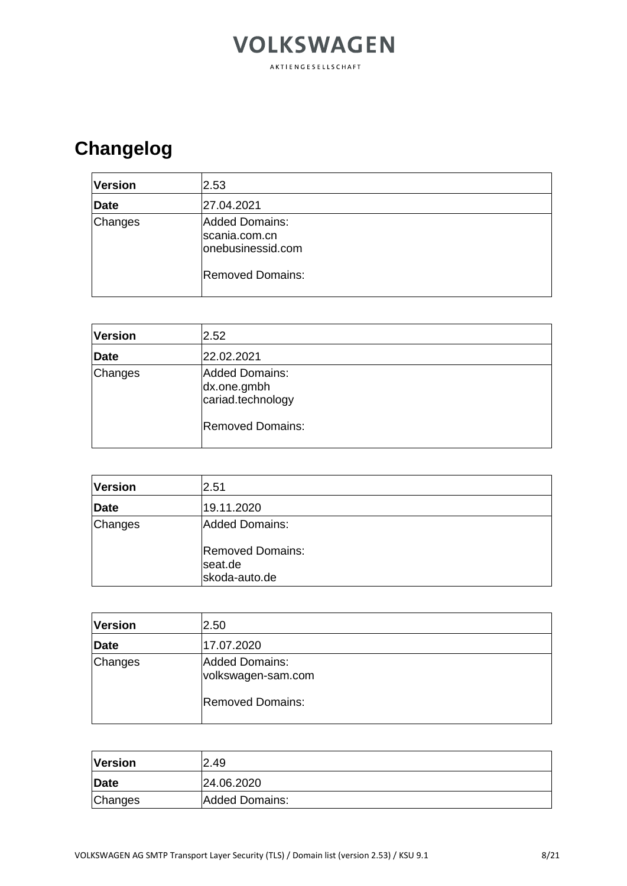#### **VOLKSWAGEN** AKTIENGESELLSCHAFT

### **Changelog**

| <b>Version</b> | 2.53                                                                            |
|----------------|---------------------------------------------------------------------------------|
| Date           | 27.04.2021                                                                      |
| Changes        | Added Domains:<br>scania.com.cn<br>onebusinessid.com<br><b>Removed Domains:</b> |

| <b>Version</b> | 2.52                                                                                 |
|----------------|--------------------------------------------------------------------------------------|
| Date           | 22.02.2021                                                                           |
| Changes        | <b>Added Domains:</b><br>dx.one.gmbh<br>cariad.technology<br><b>Removed Domains:</b> |

| <b>Version</b> | 2.51                                                |
|----------------|-----------------------------------------------------|
| Date           | 19.11.2020                                          |
| Changes        | Added Domains:                                      |
|                | <b>Removed Domains:</b><br>seat.de<br>skoda-auto.de |

| <b>Version</b> | 2.50                                 |
|----------------|--------------------------------------|
| <b>Date</b>    | 17.07.2020                           |
| Changes        | Added Domains:<br>volkswagen-sam.com |
|                | <b>Removed Domains:</b>              |

| <b>Version</b> | 2.49           |
|----------------|----------------|
| Date           | 24.06.2020     |
| Changes        | Added Domains: |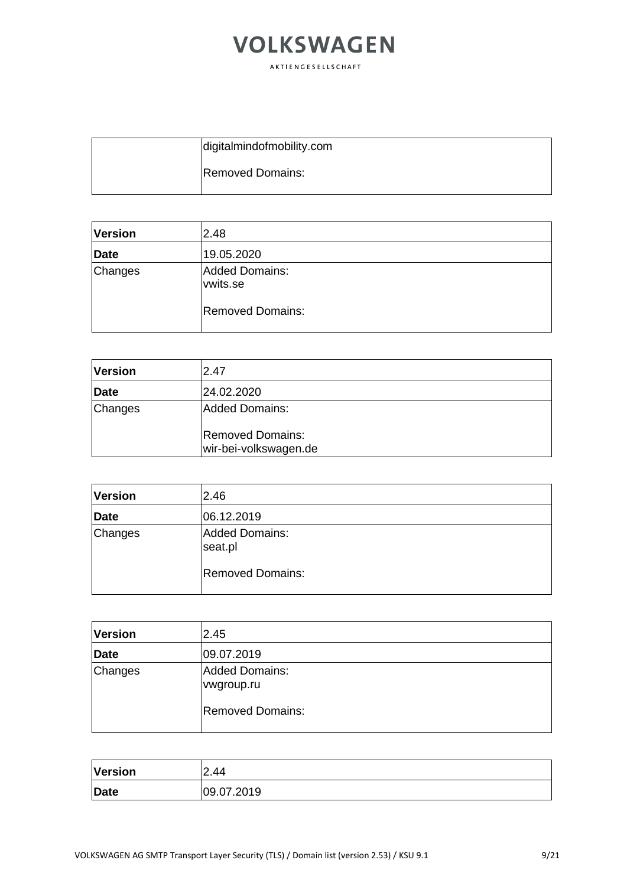| digitalmindofmobility.com |
|---------------------------|
| <b>Removed Domains:</b>   |

| <b>Version</b> | 2.48                       |
|----------------|----------------------------|
| <b>Date</b>    | 19.05.2020                 |
| Changes        | Added Domains:<br>vwits.se |
|                | <b>Removed Domains:</b>    |

| <b>Version</b> | 2.47                                                               |
|----------------|--------------------------------------------------------------------|
| <b>Date</b>    | 24.02.2020                                                         |
| Changes        | Added Domains:<br><b>Removed Domains:</b><br>wir-bei-volkswagen.de |

| <b>Version</b> | 2.46                             |
|----------------|----------------------------------|
| <b>Date</b>    | 06.12.2019                       |
| Changes        | <b>Added Domains:</b><br>seat.pl |
|                | <b>Removed Domains:</b>          |

| <b>Version</b> | 2.45                                |
|----------------|-------------------------------------|
| Date           | 09.07.2019                          |
| Changes        | <b>Added Domains:</b><br>vwgroup.ru |
|                | <b>Removed Domains:</b>             |

| <b>Version</b> | 2.44       |
|----------------|------------|
| Date           | 09.07.2019 |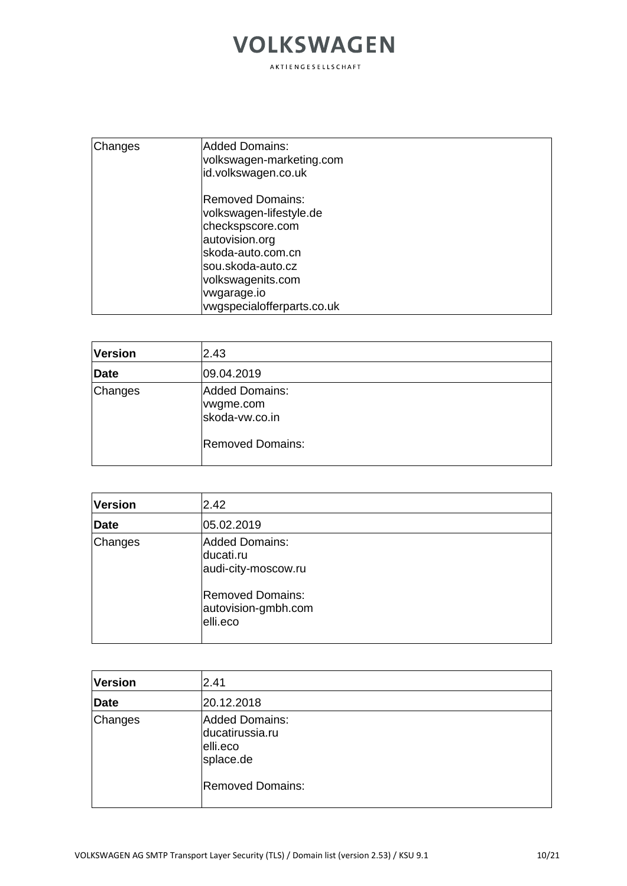| Changes | <b>Added Domains:</b><br>volkswagen-marketing.com<br>id.volkswagen.co.uk                                                                                                                       |
|---------|------------------------------------------------------------------------------------------------------------------------------------------------------------------------------------------------|
|         | lRemoved Domains:<br>volkswagen-lifestyle.de<br>checkspscore.com<br>autovision.org<br>skoda-auto.com.cn<br>sou.skoda-auto.cz<br>volkswagenits.com<br>vwgarage.io<br>vwgspecialofferparts.co.uk |

| <b>Version</b> | 2.43                                                                            |  |
|----------------|---------------------------------------------------------------------------------|--|
| <b>Date</b>    | 09.04.2019                                                                      |  |
| Changes        | <b>Added Domains:</b><br>vwgme.com<br>skoda-vw.co.in<br><b>Removed Domains:</b> |  |

| <b>Version</b> | 2.42                                                       |  |
|----------------|------------------------------------------------------------|--|
| <b>Date</b>    | 05.02.2019                                                 |  |
| Changes        | Added Domains:<br>ducati.ru<br>audi-city-moscow.ru         |  |
|                | <b>Removed Domains:</b><br>autovision-gmbh.com<br>elli.eco |  |

| <b>Version</b> | 2.41                                                                                         |
|----------------|----------------------------------------------------------------------------------------------|
| Date           | 20.12.2018                                                                                   |
| Changes        | <b>Added Domains:</b><br>ducatirussia.ru<br>elli.eco<br>splace.de<br><b>Removed Domains:</b> |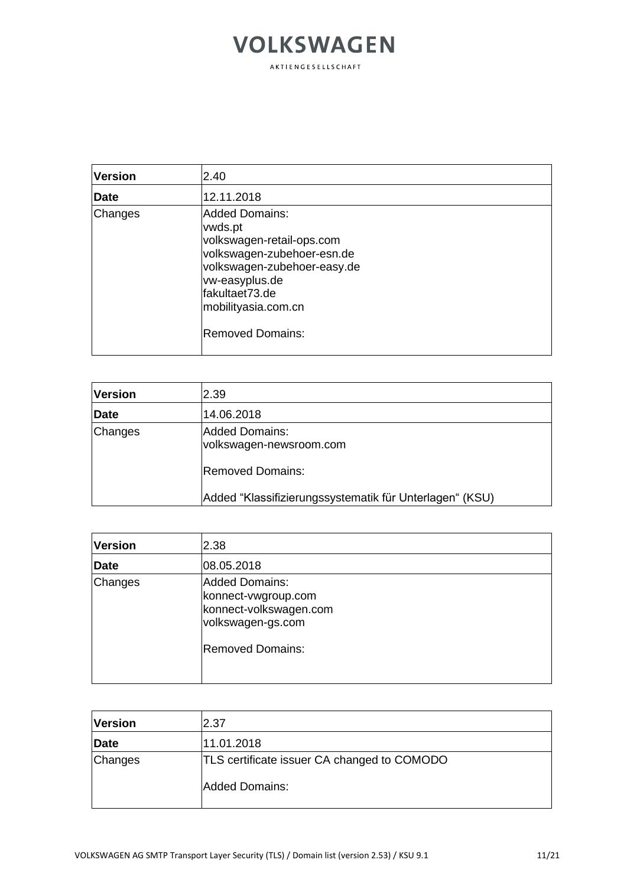#### **VOLKSWAGEN** AKTIENGESELLSCHAFT

| <b>Version</b> | 2.40                                                                                                                                                                                                             |
|----------------|------------------------------------------------------------------------------------------------------------------------------------------------------------------------------------------------------------------|
| Date           | 12.11.2018                                                                                                                                                                                                       |
| Changes        | <b>Added Domains:</b><br>vwds.pt<br>volkswagen-retail-ops.com<br>volkswagen-zubehoer-esn.de<br>volkswagen-zubehoer-easy.de<br>vw-easyplus.de<br>fakultaet73.de<br>mobilityasia.com.cn<br><b>Removed Domains:</b> |

| <b>Version</b> | 2.39                                                    |
|----------------|---------------------------------------------------------|
| <b>Date</b>    | 14.06.2018                                              |
| Changes        | Added Domains:<br>volkswagen-newsroom.com               |
|                | <b>Removed Domains:</b>                                 |
|                | Added "Klassifizierungssystematik für Unterlagen" (KSU) |

| <b>Version</b> | 2.38                                                                                                            |
|----------------|-----------------------------------------------------------------------------------------------------------------|
| Date           | 08.05.2018                                                                                                      |
| Changes        | <b>Added Domains:</b><br>konnect-vwgroup.com<br>konnect-volkswagen.com<br>volkswagen-gs.com<br>Removed Domains: |
|                |                                                                                                                 |

| <b>Version</b> | 2.37                                                           |
|----------------|----------------------------------------------------------------|
| <b>Date</b>    | 11.01.2018                                                     |
| Changes        | TLS certificate issuer CA changed to COMODO<br>lAdded Domains: |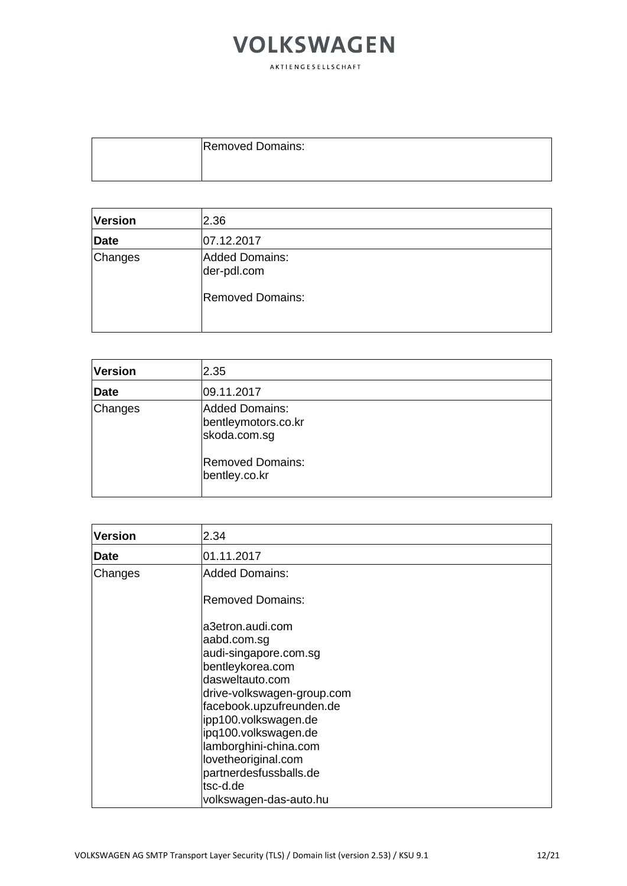| <b>Removed Domains:</b> |
|-------------------------|
|                         |

| <b>Version</b> | 2.36                                                     |  |
|----------------|----------------------------------------------------------|--|
| Date           | 07.12.2017                                               |  |
| Changes        | Added Domains:<br>der-pdl.com<br><b>Removed Domains:</b> |  |
|                |                                                          |  |

| <b>Version</b> | 2.35                                                  |  |
|----------------|-------------------------------------------------------|--|
| <b>Date</b>    | 09.11.2017                                            |  |
| Changes        | Added Domains:<br>bentleymotors.co.kr<br>skoda.com.sg |  |
|                | <b>Removed Domains:</b><br>bentley.co.kr              |  |

| Version     | 2.34                       |
|-------------|----------------------------|
| <b>Date</b> | 01.11.2017                 |
| Changes     | <b>Added Domains:</b>      |
|             | <b>Removed Domains:</b>    |
|             | a3etron.audi.com           |
|             | aabd.com.sg                |
|             | audi-singapore.com.sg      |
|             | bentleykorea.com           |
|             | dasweltauto.com            |
|             | drive-volkswagen-group.com |
|             | facebook.upzufreunden.de   |
|             | ipp100.volkswagen.de       |
|             | ipg100.volkswagen.de       |
|             | lamborghini-china.com      |
|             | lovetheoriginal.com        |
|             | partnerdesfussballs.de     |
|             | tsc-d.de                   |
|             | volkswagen-das-auto.hu     |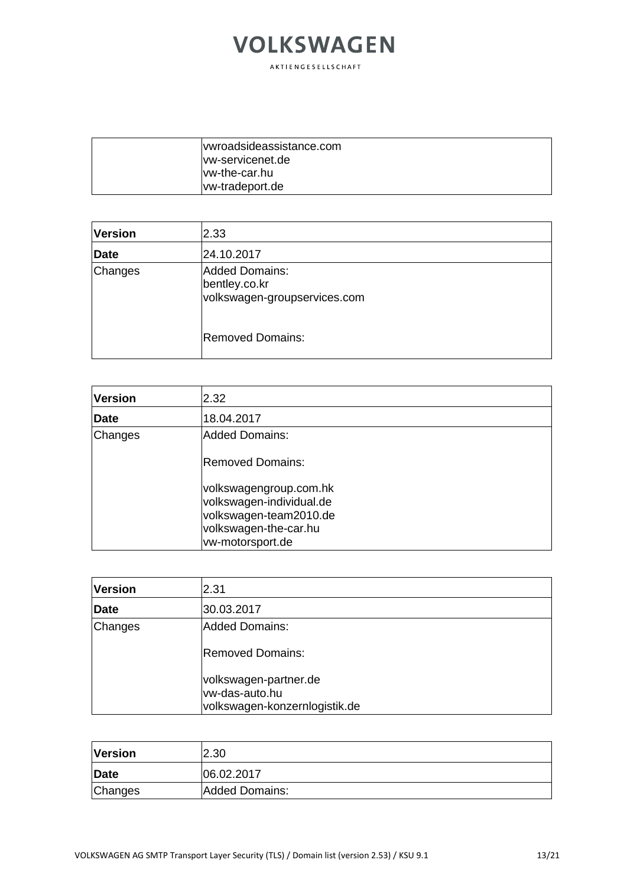| wwroadsideassistance.com |
|--------------------------|
| ww-servicenet.de         |
| lvw-the-car.hu           |
| <u>vw-tradeport.de</u>   |

| Version     | 2.33                                                            |
|-------------|-----------------------------------------------------------------|
| <b>Date</b> | 24.10.2017                                                      |
| Changes     | Added Domains:<br>bentley.co.kr<br>volkswagen-groupservices.com |
|             | <b>Removed Domains:</b>                                         |

| <b>Version</b> | 2.32                                                                                                                      |
|----------------|---------------------------------------------------------------------------------------------------------------------------|
| <b>Date</b>    | 18.04.2017                                                                                                                |
| Changes        | <b>Added Domains:</b>                                                                                                     |
|                | Removed Domains:                                                                                                          |
|                | volkswagengroup.com.hk<br>volkswagen-individual.de<br>volkswagen-team2010.de<br>volkswagen-the-car.hu<br>vw-motorsport.de |

| <b>Version</b> | 2.31                          |
|----------------|-------------------------------|
| <b>Date</b>    | 30.03.2017                    |
| Changes        | Added Domains:                |
|                | <b>Removed Domains:</b>       |
|                | volkswagen-partner.de         |
|                | lvw-das-auto.hu               |
|                | volkswagen-konzernlogistik.de |

| <b>Version</b> | 2.30           |
|----------------|----------------|
| Date           | 06.02.2017     |
| Changes        | Added Domains: |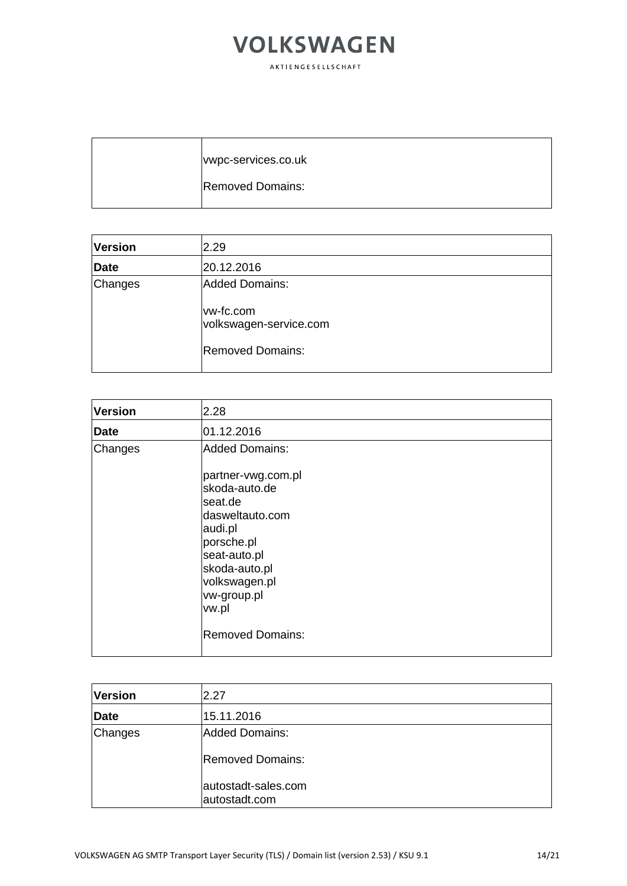| wwpc-services.co.uk     |
|-------------------------|
| <b>Removed Domains:</b> |

| <b>Version</b> | 2.29                                                                             |
|----------------|----------------------------------------------------------------------------------|
| Date           | 20.12.2016                                                                       |
| Changes        | Added Domains:<br>vw-fc.com<br>volkswagen-service.com<br><b>Removed Domains:</b> |

| <b>Version</b> | 2.28                                                                                                                                                                                              |
|----------------|---------------------------------------------------------------------------------------------------------------------------------------------------------------------------------------------------|
| Date           | 01.12.2016                                                                                                                                                                                        |
| Changes        | <b>Added Domains:</b>                                                                                                                                                                             |
|                | partner-vwg.com.pl<br>skoda-auto.de<br>lseat.de<br>ldasweltauto.com<br>audi.pl<br>porsche.pl<br>seat-auto.pl<br>skoda-auto.pl<br>volkswagen.pl<br>vw-group.pl<br>vw.pl<br><b>Removed Domains:</b> |

| <b>Version</b> | 2.27                                 |
|----------------|--------------------------------------|
| Date           | 15.11.2016                           |
| Changes        | Added Domains:                       |
|                | <b>Removed Domains:</b>              |
|                | autostadt-sales.com<br>autostadt.com |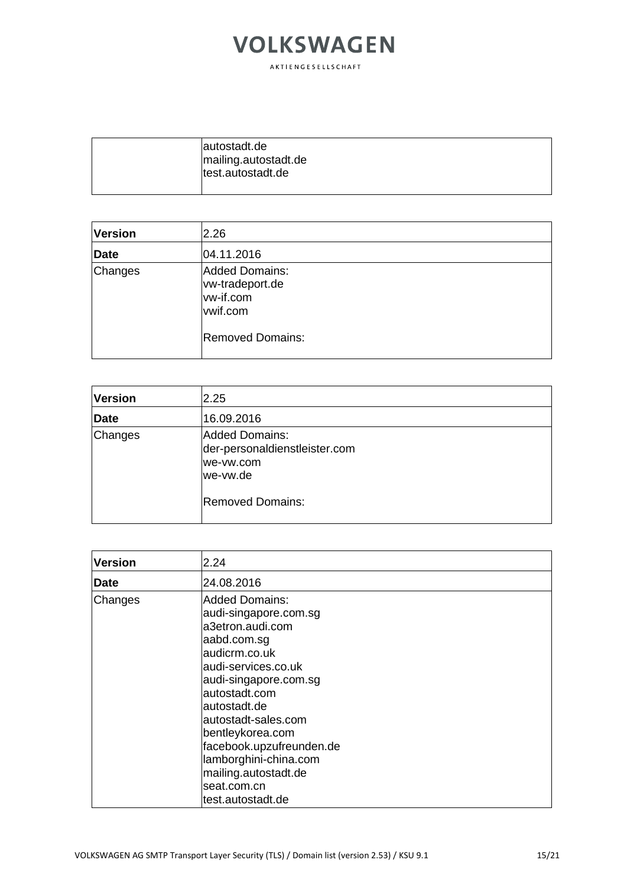| autostadt.de<br>mailing.autostadt.de |
|--------------------------------------|
| test.autostadt.de                    |

| <b>Version</b> | 2.26                                                                                  |  |
|----------------|---------------------------------------------------------------------------------------|--|
| <b>Date</b>    | 04.11.2016                                                                            |  |
| Changes        | Added Domains:<br>vw-tradeport.de<br>vw-if.com<br>vwif.com<br><b>Removed Domains:</b> |  |

| <b>Version</b> | 2.25                                                                                         |
|----------------|----------------------------------------------------------------------------------------------|
| <b>Date</b>    | 16.09.2016                                                                                   |
| Changes        | Added Domains:<br>der-personaldienstleister.com<br>we-vw.com<br>we-vw.de<br>Removed Domains: |

| <b>Version</b> | 2.24                                                                                                                                                                                                                                                                                                                                            |
|----------------|-------------------------------------------------------------------------------------------------------------------------------------------------------------------------------------------------------------------------------------------------------------------------------------------------------------------------------------------------|
| <b>Date</b>    | 24.08.2016                                                                                                                                                                                                                                                                                                                                      |
| Changes        | <b>Added Domains:</b><br>audi-singapore.com.sg<br>a3etron.audi.com<br>aabd.com.sg<br>audicrm.co.uk<br>audi-services.co.uk<br>audi-singapore.com.sg<br>autostadt.com<br>autostadt.de<br>autostadt-sales.com<br>bentleykorea.com<br>facebook.upzufreunden.de<br>lamborghini-china.com<br>mailing.autostadt.de<br>seat.com.cn<br>test.autostadt.de |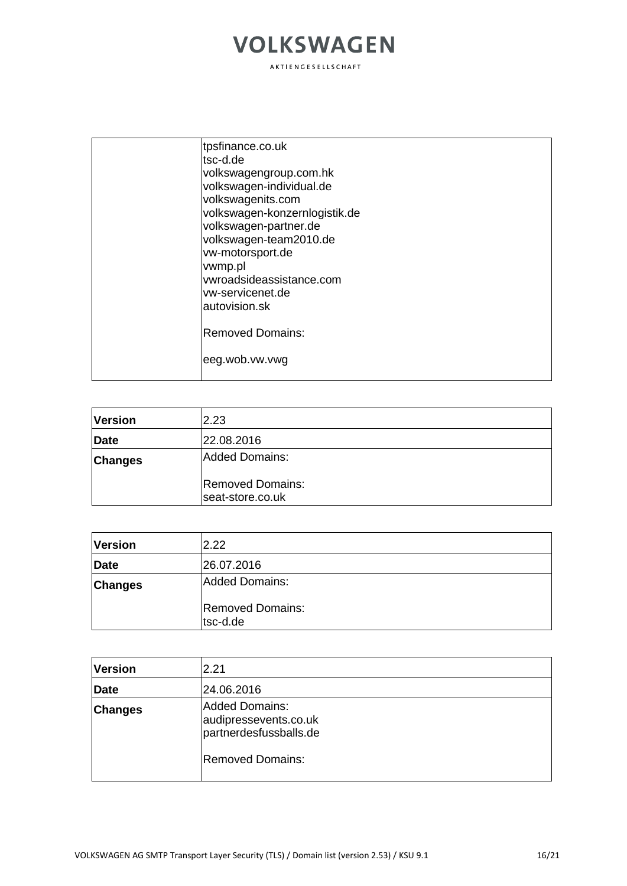|  | tpsfinance.co.uk<br>tsc-d.de                           |
|--|--------------------------------------------------------|
|  | volkswagengroup.com.hk                                 |
|  | volkswagen-individual.de                               |
|  | volkswagenits.com                                      |
|  | volkswagen-konzernlogistik.de<br>volkswagen-partner.de |
|  | volkswagen-team2010.de                                 |
|  | vw-motorsport.de                                       |
|  | vwmp.pl                                                |
|  | vwroadsideassistance.com                               |
|  | vw-servicenet.de                                       |
|  | autovision.sk                                          |
|  | <b>Removed Domains:</b>                                |
|  | eeg.wob.vw.vwg                                         |
|  |                                                        |

| <b>Version</b> | 2.23                                        |
|----------------|---------------------------------------------|
| Date           | 22.08.2016                                  |
| <b>Changes</b> | Added Domains:                              |
|                | <b>Removed Domains:</b><br>seat-store.co.uk |

| <b>Version</b> | 2.22                                |
|----------------|-------------------------------------|
| <b>Date</b>    | 26.07.2016                          |
| <b>Changes</b> | Added Domains:                      |
|                | <b>Removed Domains:</b><br>tsc-d.de |

| <b>Version</b> | 2.21                                                                                                |
|----------------|-----------------------------------------------------------------------------------------------------|
| Date           | 24.06.2016                                                                                          |
| <b>Changes</b> | <b>Added Domains:</b><br>audipressevents.co.uk<br>partnerdesfussballs.de<br><b>Removed Domains:</b> |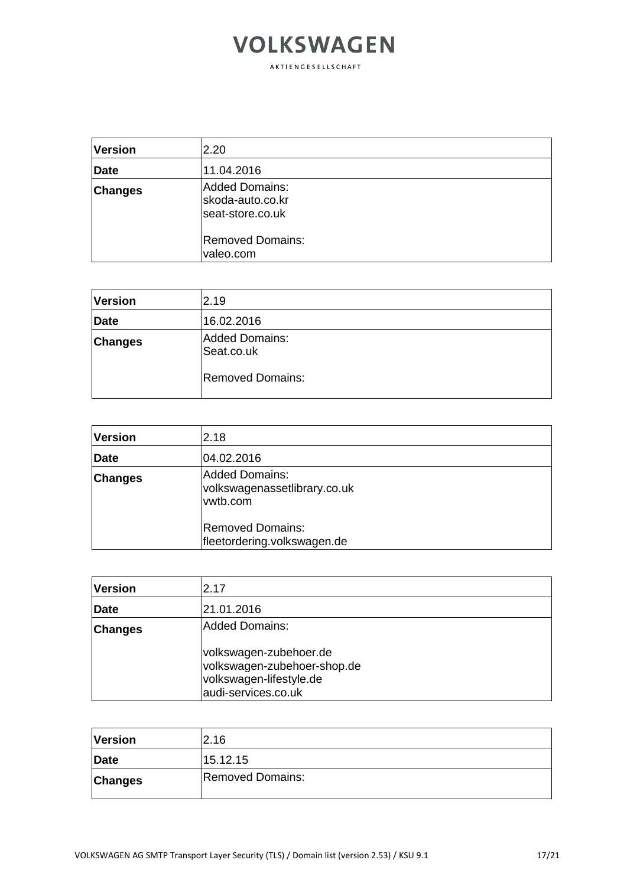| <b>Version</b> | 2.20                                                   |
|----------------|--------------------------------------------------------|
| Date           | 11.04.2016                                             |
| <b>Changes</b> | Added Domains:<br>skoda-auto.co.kr<br>seat-store.co.uk |
|                | <b>Removed Domains:</b><br>valeo.com                   |

| <b>Version</b> | 2.19                         |
|----------------|------------------------------|
| Date           | 16.02.2016                   |
| <b>Changes</b> | Added Domains:<br>Seat.co.uk |
|                | <b>Removed Domains:</b>      |

| <b>Version</b> | 2.18                                                       |
|----------------|------------------------------------------------------------|
| Date           | 04.02.2016                                                 |
| <b>Changes</b> | Added Domains:<br>volkswagenassetlibrary.co.uk<br>vwtb.com |
|                | Removed Domains:<br>fleetordering.volkswagen.de            |

| <b>Version</b> | 2.17                                                                                                    |
|----------------|---------------------------------------------------------------------------------------------------------|
| Date           | 21.01.2016                                                                                              |
| <b>Changes</b> | Added Domains:                                                                                          |
|                | volkswagen-zubehoer.de<br>volkswagen-zubehoer-shop.de<br>volkswagen-lifestyle.de<br>audi-services.co.uk |

| <b>Version</b> | 2.16                    |
|----------------|-------------------------|
| Date           | 15.12.15                |
| <b>Changes</b> | <b>Removed Domains:</b> |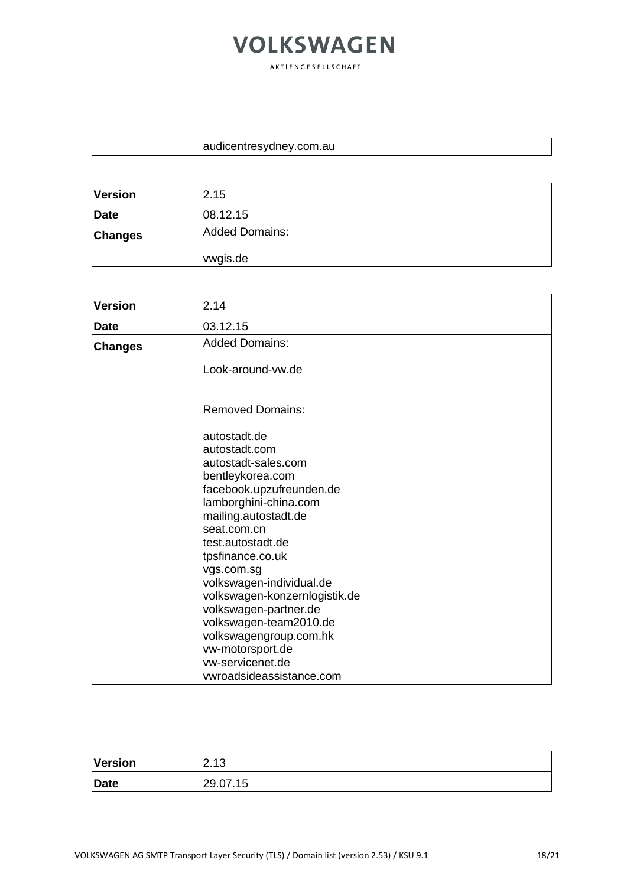| audicentresydney.com.au |
|-------------------------|
|-------------------------|

| <b>Version</b> | 2.15                  |
|----------------|-----------------------|
| <b>Date</b>    | 08.12.15              |
| <b>Changes</b> | <b>Added Domains:</b> |
|                | vwgis.de              |

| <b>Version</b> | 2.14                                                                                                                                                                                                                                         |
|----------------|----------------------------------------------------------------------------------------------------------------------------------------------------------------------------------------------------------------------------------------------|
| <b>Date</b>    | 03.12.15                                                                                                                                                                                                                                     |
| <b>Changes</b> | <b>Added Domains:</b>                                                                                                                                                                                                                        |
|                | Look-around-vw.de                                                                                                                                                                                                                            |
|                | <b>Removed Domains:</b>                                                                                                                                                                                                                      |
|                | autostadt.de<br>autostadt.com<br>autostadt-sales.com<br>bentleykorea.com<br>facebook.upzufreunden.de<br>lamborghini-china.com<br>mailing.autostadt.de<br>seat.com.cn<br>test.autostadt.de                                                    |
|                | tpsfinance.co.uk<br>vgs.com.sg<br>volkswagen-individual.de<br>volkswagen-konzernlogistik.de<br>volkswagen-partner.de<br>volkswagen-team2010.de<br>volkswagengroup.com.hk<br>vw-motorsport.de<br>vw-servicenet.de<br>vwroadsideassistance.com |

| Version | 212<br>. د ۱ ـ <u>۲</u> |
|---------|-------------------------|
| Date    | 29.07.15                |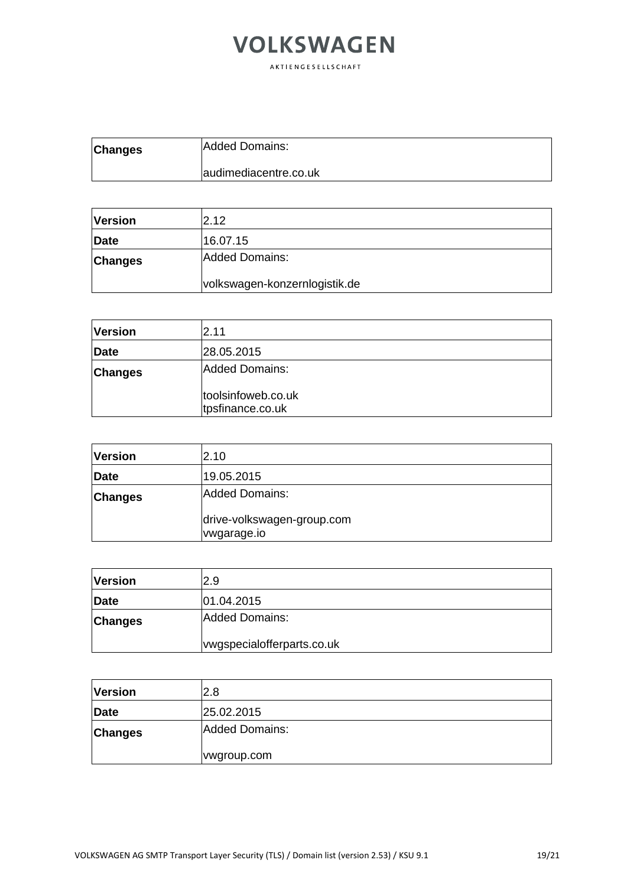| <b>Changes</b> | Added Domains:        |
|----------------|-----------------------|
|                | audimediacentre.co.uk |

| <b>Version</b> | 2.12                          |
|----------------|-------------------------------|
| <b>Date</b>    | 16.07.15                      |
| <b>Changes</b> | Added Domains:                |
|                | volkswagen-konzernlogistik.de |

| <b>Version</b> | 2.11                                   |
|----------------|----------------------------------------|
| <b>Date</b>    | 28.05.2015                             |
| <b>Changes</b> | Added Domains:                         |
|                | toolsinfoweb.co.uk<br>tpsfinance.co.uk |

| <b>Version</b> | 2.10                                      |
|----------------|-------------------------------------------|
| Date           | 19.05.2015                                |
| <b>Changes</b> | Added Domains:                            |
|                | drive-volkswagen-group.com<br>vwgarage.io |

| <b>Version</b> | 2.9                        |
|----------------|----------------------------|
| Date           | 01.04.2015                 |
| <b>Changes</b> | Added Domains:             |
|                | vwgspecialofferparts.co.uk |

| <b>Version</b> | 2.8            |
|----------------|----------------|
| Date           | 25.02.2015     |
| <b>Changes</b> | Added Domains: |
|                | wyroup.com     |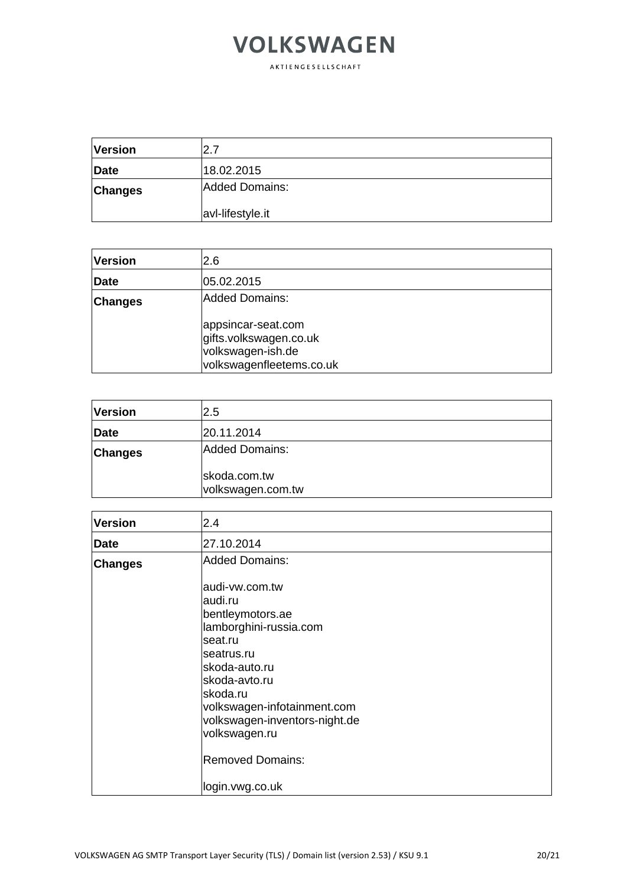| <b>Version</b> | I2.7             |
|----------------|------------------|
| Date           | 18.02.2015       |
| <b>Changes</b> | Added Domains:   |
|                | avl-lifestyle.it |

| <b>Version</b> | 2.6                                                                                           |
|----------------|-----------------------------------------------------------------------------------------------|
| Date           | 05.02.2015                                                                                    |
| <b>Changes</b> | Added Domains:                                                                                |
|                | appsincar-seat.com<br>gifts.volkswagen.co.uk<br>volkswagen-ish.de<br>volkswagenfleetems.co.uk |

| <b>Version</b> | 2.5                               |
|----------------|-----------------------------------|
| Date           | 20.11.2014                        |
| <b>Changes</b> | Added Domains:                    |
|                | skoda.com.tw<br>volkswagen.com.tw |

| <b>Version</b> | 2.4                           |
|----------------|-------------------------------|
| <b>Date</b>    | 27.10.2014                    |
| <b>Changes</b> | <b>Added Domains:</b>         |
|                | audi-vw.com.tw                |
|                | audi.ru                       |
|                | bentleymotors.ae              |
|                | lamborghini-russia.com        |
|                | seat.ru                       |
|                | seatrus.ru                    |
|                | skoda-auto.ru                 |
|                | skoda-avto.ru                 |
|                | skoda.ru                      |
|                | volkswagen-infotainment.com   |
|                | volkswagen-inventors-night.de |
|                | volkswagen.ru                 |
|                | <b>Removed Domains:</b>       |
|                | login.vwg.co.uk               |